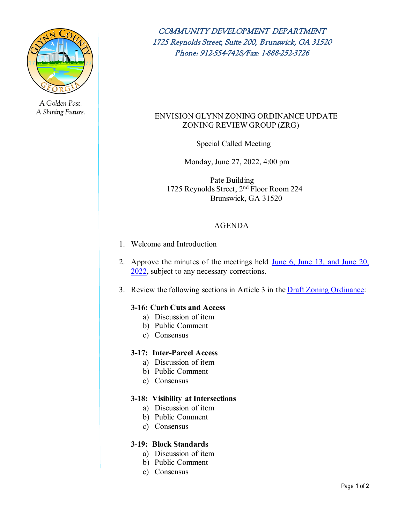

A Golden Past. A Shining Future.

COMMUNITY DEVELOPMENT DEPARTMENT 1725 Reynolds Street, Suite 200, Brunswick, GA 31520 Phone: 912-554-7428/Fax: 1-888-252-3726

# ENVISION GLYNN ZONING ORDINANCE UPDATE ZONING REVIEW GROUP (ZRG)

Special Called Meeting

Monday, June 27, 2022, 4:00 pm

 Pate Building 1725 Reynolds Street, 2nd Floor Room 224 Brunswick, GA 31520

# AGENDA

- 1. Welcome and Introduction
- 2. Approve the minutes of the meetings held [June 6, June 13, and June 20,](https://glynncounty.org/DocumentCenter/View/76319/Minutes-Placeholder-TEMPLATE) [2022,](https://glynncounty.org/DocumentCenter/View/76319/Minutes-Placeholder-TEMPLATE) subject to any necessary corrections.
- 3. Review the following sections in Article 3 in th[e Draft Zoning Ordinance:](https://glynncounty.org/DocumentCenter/View/75012/Glynn-County-Draft-Zoning-Ordinance---Draft-V1?bidId=)

# **3-16: Curb Cuts and Access**

- a) Discussion of item
- b) Public Comment
- c) Consensus

# **3-17: Inter-Parcel Access**

- a) Discussion of item
- b) Public Comment
- c) Consensus

# **3-18: Visibility at Intersections**

- a) Discussion of item
- b) Public Comment
- c) Consensus

# **3-19: Block Standards**

- a) Discussion of item
- b) Public Comment
- c) Consensus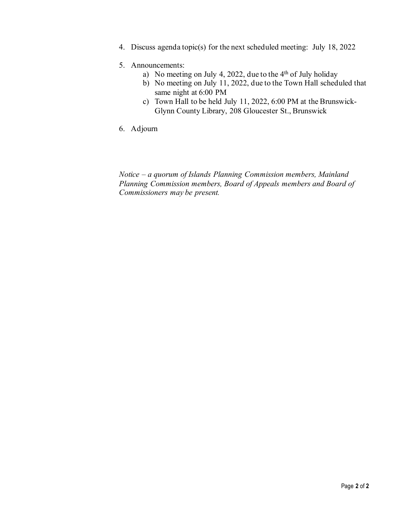4. Discuss agenda topic(s) for the next scheduled meeting: July 18, 2022

# 5. Announcements:

- a) No meeting on July 4, 2022, due to the  $4<sup>th</sup>$  of July holiday
- b) No meeting on July 11, 2022, due to the Town Hall scheduled that same night at 6:00 PM
- c) Town Hall to be held July 11, 2022, 6:00 PM at the Brunswick-Glynn County Library, 208 Gloucester St., Brunswick
- 6. Adjourn

*Notice – a quorum of Islands Planning Commission members, Mainland Planning Commission members, Board of Appeals members and Board of Commissioners may be present.*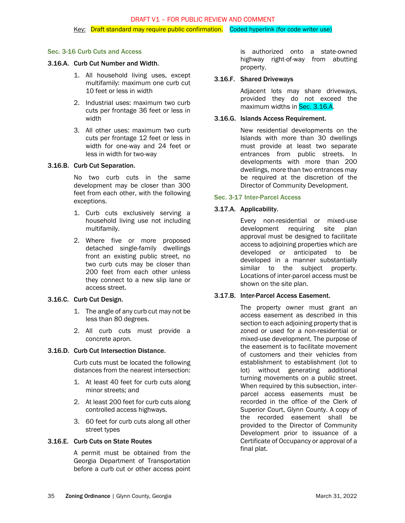# Sec. 3-16 Curb Cuts and Access

## 3.16.A. Curb Cut Number and Width.

- 1. All household living uses, except multifamily: maximum one curb cut 10 feet or less in width
- 2. Industrial uses: maximum two curb cuts per frontage 36 feet or less in width
- 3. All other uses: maximum two curb cuts per frontage 12 feet or less in width for one-way and 24 feet or less in width for two-way

## 3.16.B. Curb Cut Separation.

No two curb cuts in the same development may be closer than 300 feet from each other, with the following exceptions.

- 1. Curb cuts exclusively serving a household living use not including multifamily.
- 2. Where five or more proposed detached single-family dwellings front an existing public street, no two curb cuts may be closer than 200 feet from each other unless they connect to a new slip lane or access street.

## 3.16.C. Curb Cut Design.

- 1. The angle of any curb cut may not be less than 80 degrees.
- 2. All curb cuts must provide a concrete apron.

### 3.16.D. Curb Cut Intersection Distance.

Curb cuts must be located the following distances from the nearest intersection:

- 1. At least 40 feet for curb cuts along minor streets; and
- 2. At least 200 feet for curb cuts along controlled access highways.
- 3. 60 feet for curb cuts along all other street types

## 3.16.E. Curb Cuts on State Routes

A permit must be obtained from the Georgia Department of Transportation before a curb cut or other access point

is authorized onto a state-owned highway right-of-way from abutting property.

### <span id="page-2-0"></span>3.16.F. Shared Driveways

Adjacent lots may share driveways, provided they do not exceed the maximum widths in Sec[. 3.16.A.](#page-2-0)

### 3.16.G. Islands Access Requirement.

New residential developments on the Islands with more than 30 dwellings must provide at least two separate entrances from public streets. In developments with more than 200 dwellings, more than two entrances may be required at the discretion of the Director of Community Development.

### Sec. 3-17 Inter-Parcel Access

### 3.17.A. Applicability.

Every non-residential or mixed-use development requiring site plan approval must be designed to facilitate access to adjoining properties which are developed or anticipated to be developed in a manner substantially similar to the subject property. Locations of inter-parcel access must be shown on the site plan.

# 3.17.B. Inter-Parcel Access Easement.

The property owner must grant an access easement as described in this section to each adjoining property that is zoned or used for a non-residential or mixed-use development. The purpose of the easement is to facilitate movement of customers and their vehicles from establishment to establishment (lot to lot) without generating additional turning movements on a public street. When required by this subsection, interparcel access easements must be recorded in the office of the Clerk of Superior Court, Glynn County. A copy of the recorded easement shall be provided to the Director of Community Development prior to issuance of a Certificate of Occupancy or approval of a final plat.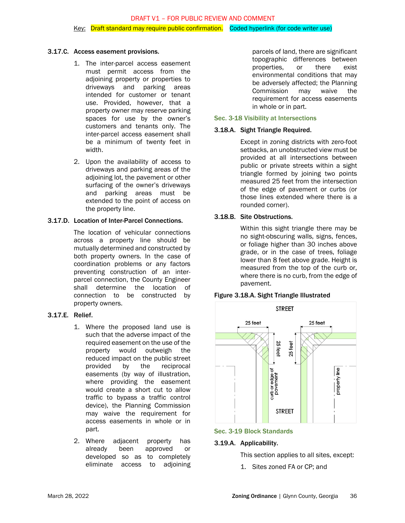### DRAFT V1 – FOR PUBLIC REVIEW AND COMMENT

#### Key: Draft standard may require public confirmation. Coded hyperlink (for code writer use)

#### 3.17.C. Access easement provisions.

- 1. The inter-parcel access easement must permit access from the adjoining property or properties to driveways and parking areas intended for customer or tenant use. Provided, however, that a property owner may reserve parking spaces for use by the owner's customers and tenants only. The inter-parcel access easement shall be a minimum of twenty feet in width.
- 2. Upon the availability of access to driveways and parking areas of the adjoining lot, the pavement or other surfacing of the owner's driveways and parking areas must be extended to the point of access on the property line.

#### 3.17.D. Location of Inter-Parcel Connections.

The location of vehicular connections across a property line should be mutually determined and constructed by both property owners. In the case of coordination problems or any factors preventing construction of an interparcel connection, the County Engineer shall determine the location of connection to be constructed by property owners.

## 3.17.E. Relief.

- 1. Where the proposed land use is such that the adverse impact of the required easement on the use of the property would outweigh the reduced impact on the public street provided by the reciprocal easements (by way of illustration, where providing the easement would create a short cut to allow traffic to bypass a traffic control device), the Planning Commission may waive the requirement for access easements in whole or in part.
- 2. Where adjacent property has already been approved or developed so as to completely eliminate access to adjoining

parcels of land, there are significant topographic differences between properties, or there exist environmental conditions that may be adversely affected; the Planning Commission may waive the requirement for access easements in whole or in part.

#### Sec. 3-18 Visibility at Intersections

## 3.18.A. Sight Triangle Required.

Except in zoning districts with zero-foot setbacks, an unobstructed view must be provided at all intersections between public or private streets within a sight triangle formed by joining two points measured 25 feet from the intersection of the edge of pavement or curbs (or those lines extended where there is a rounded corner).

### 3.18.B. Site Obstructions.

Within this sight triangle there may be no sight-obscuring walls, signs, fences, or foliage higher than 30 inches above grade, or in the case of trees, foliage lower than 8 feet above grade. Height is measured from the top of the curb or, where there is no curb, from the edge of pavement.



## Figure 3.18.A. Sight Triangle Illustrated

## Sec. 3-19 Block Standards

#### 3.19.A. Applicability.

This section applies to all sites, except:

1. Sites zoned FA or CP; and